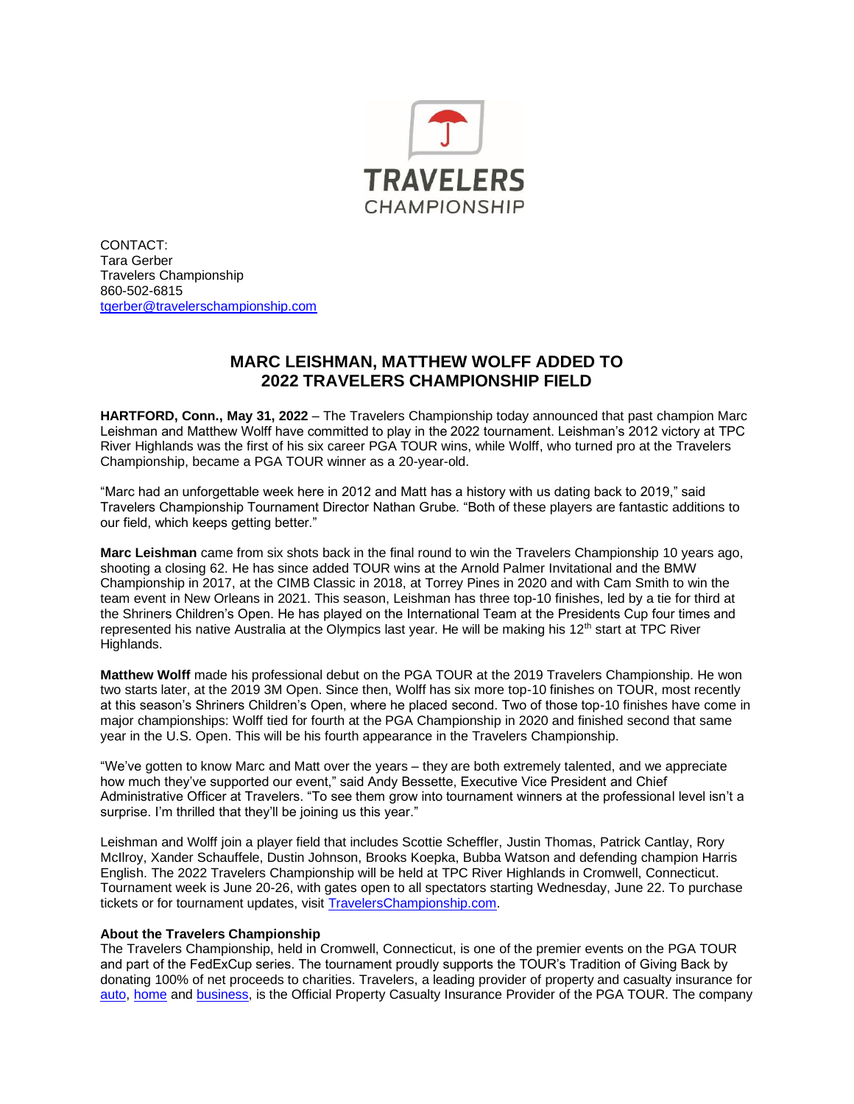

CONTACT: Tara Gerber Travelers Championship 860-502-6815 [tgerber@travelerschampionship.com](mailto:tgerber@travelerschampionship.com)

## **MARC LEISHMAN, MATTHEW WOLFF ADDED TO 2022 TRAVELERS CHAMPIONSHIP FIELD**

**HARTFORD, Conn., May 31, 2022** – The Travelers Championship today announced that past champion Marc Leishman and Matthew Wolff have committed to play in the 2022 tournament. Leishman's 2012 victory at TPC River Highlands was the first of his six career PGA TOUR wins, while Wolff, who turned pro at the Travelers Championship, became a PGA TOUR winner as a 20-year-old.

"Marc had an unforgettable week here in 2012 and Matt has a history with us dating back to 2019," said Travelers Championship Tournament Director Nathan Grube. "Both of these players are fantastic additions to our field, which keeps getting better."

**Marc Leishman** came from six shots back in the final round to win the Travelers Championship 10 years ago, shooting a closing 62. He has since added TOUR wins at the Arnold Palmer Invitational and the BMW Championship in 2017, at the CIMB Classic in 2018, at Torrey Pines in 2020 and with Cam Smith to win the team event in New Orleans in 2021. This season, Leishman has three top-10 finishes, led by a tie for third at the Shriners Children's Open. He has played on the International Team at the Presidents Cup four times and represented his native Australia at the Olympics last year. He will be making his 12<sup>th</sup> start at TPC River Highlands.

**Matthew Wolff** made his professional debut on the PGA TOUR at the 2019 Travelers Championship. He won two starts later, at the 2019 3M Open. Since then, Wolff has six more top-10 finishes on TOUR, most recently at this season's Shriners Children's Open, where he placed second. Two of those top-10 finishes have come in major championships: Wolff tied for fourth at the PGA Championship in 2020 and finished second that same year in the U.S. Open. This will be his fourth appearance in the Travelers Championship.

"We've gotten to know Marc and Matt over the years – they are both extremely talented, and we appreciate how much they've supported our event," said Andy Bessette, Executive Vice President and Chief Administrative Officer at Travelers. "To see them grow into tournament winners at the professional level isn't a surprise. I'm thrilled that they'll be joining us this year."

Leishman and Wolff join a player field that includes Scottie Scheffler, Justin Thomas, Patrick Cantlay, Rory McIlroy, Xander Schauffele, Dustin Johnson, Brooks Koepka, Bubba Watson and defending champion Harris English. The 2022 Travelers Championship will be held at TPC River Highlands in Cromwell, Connecticut. Tournament week is June 20-26, with gates open to all spectators starting Wednesday, June 22. To purchase tickets or for tournament updates, visit [TravelersChampionship.com.](https://travelerschampionship.com/)

## **About the Travelers Championship**

The Travelers Championship, held in Cromwell, Connecticut, is one of the premier events on the PGA TOUR and part of the FedExCup series. The tournament proudly supports the TOUR's Tradition of Giving Back by donating 100% of net proceeds to charities. Travelers, a leading provider of property and casualty insurance for [auto,](https://www.travelers.com/personal-insurance/auto-insurance/index.aspx) [home](https://www.travelers.com/personal-insurance/home-insurance/index.aspx) an[d business,](https://www.travelers.com/business-insurance/index.aspx) is the Official Property Casualty Insurance Provider of the PGA TOUR. The company